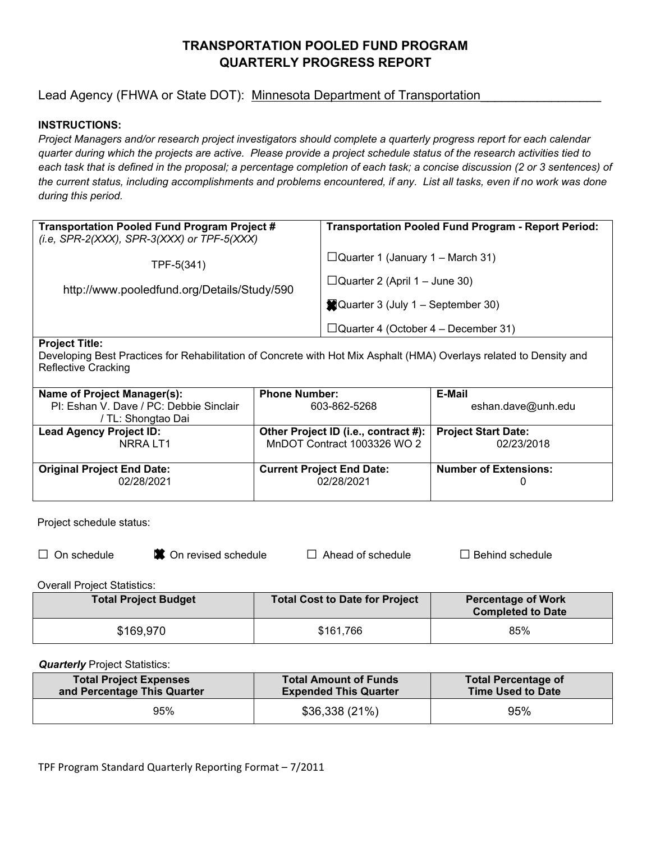# **TRANSPORTATION POOLED FUND PROGRAM QUARTERLY PROGRESS REPORT**

# Lead Agency (FHWA or State DOT): Minnesota Department of Transportation

## **INSTRUCTIONS:**

*Project Managers and/or research project investigators should complete a quarterly progress report for each calendar quarter during which the projects are active. Please provide a project schedule status of the research activities tied to each task that is defined in the proposal; a percentage completion of each task; a concise discussion (2 or 3 sentences) of the current status, including accomplishments and problems encountered, if any. List all tasks, even if no work was done during this period.* 

| <b>Transportation Pooled Fund Program Project #</b><br>(i.e, SPR-2(XXX), SPR-3(XXX) or TPF-5(XXX) | <b>Transportation Pooled Fund Program - Report Period:</b> |
|---------------------------------------------------------------------------------------------------|------------------------------------------------------------|
| TPF-5(341)                                                                                        | $\Box$ Quarter 1 (January 1 – March 31)                    |
| http://www.pooledfund.org/Details/Study/590                                                       | $\Box$ Quarter 2 (April 1 – June 30)                       |
|                                                                                                   | Quarter 3 (July 1 – September 30)                          |
|                                                                                                   | $\Box$ Quarter 4 (October 4 – December 31)                 |
| $D - 1 - 1 - 1$                                                                                   |                                                            |

#### **Project Title:**

Developing Best Practices for Rehabilitation of Concrete with Hot Mix Asphalt (HMA) Overlays related to Density and Reflective Cracking

| Name of Project Manager(s):<br>PI: Eshan V. Dave / PC: Debbie Sinclair | <b>Phone Number:</b><br>603-862-5268                     | E-Mail<br>eshan.dave@unh.edu |  |
|------------------------------------------------------------------------|----------------------------------------------------------|------------------------------|--|
| / TL: Shongtao Dai                                                     |                                                          |                              |  |
| <b>Lead Agency Project ID:</b>                                         | Other Project ID (i.e., contract #): Project Start Date: |                              |  |
| NRRA LT1                                                               | MnDOT Contract 1003326 WO 2                              | 02/23/2018                   |  |
|                                                                        |                                                          |                              |  |
| <b>Original Project End Date:</b>                                      | <b>Current Project End Date:</b>                         | <b>Number of Extensions:</b> |  |
| 02/28/2021                                                             | 02/28/2021                                               |                              |  |
|                                                                        |                                                          |                              |  |

Project schedule status:

e **■** On revised schedule □ Ahead of schedule □ Behind schedule

Overall Project Statistics:

| <b>Total Project Budget</b> | <b>Total Cost to Date for Project</b> | <b>Percentage of Work</b><br><b>Completed to Date</b> |
|-----------------------------|---------------------------------------|-------------------------------------------------------|
| \$169,970                   | \$161,766                             | 85%                                                   |

*Quarterly* Project Statistics:

| <b>Total Project Expenses</b> | <b>Total Amount of Funds</b> | <b>Total Percentage of</b> |
|-------------------------------|------------------------------|----------------------------|
| and Percentage This Quarter   | <b>Expended This Quarter</b> | <b>Time Used to Date</b>   |
| 95%                           | \$36,338(21%)                | 95%                        |

TPF Program Standard Quarterly Reporting Format – 7/2011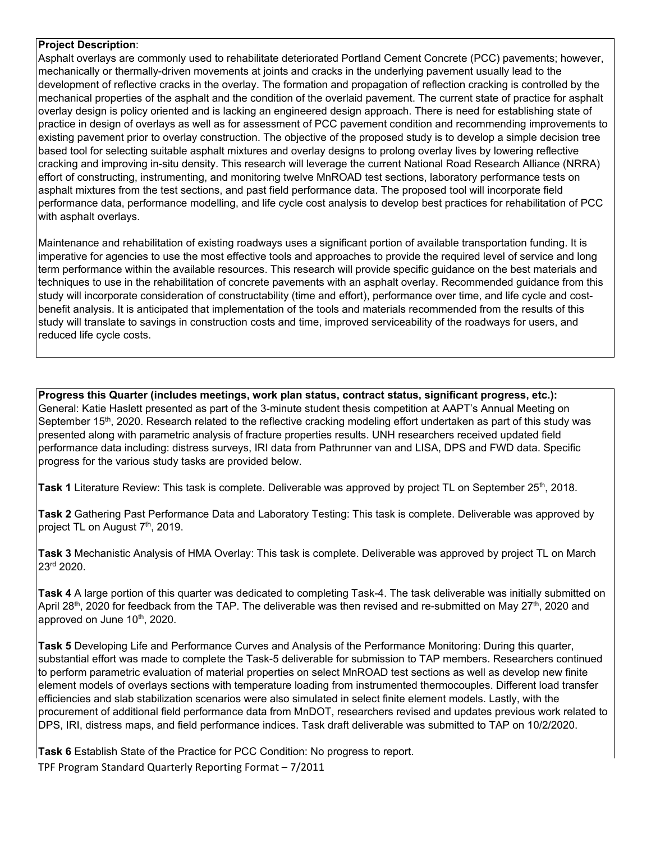#### **Project Description**:

Asphalt overlays are commonly used to rehabilitate deteriorated Portland Cement Concrete (PCC) pavements; however, mechanically or thermally-driven movements at joints and cracks in the underlying pavement usually lead to the development of reflective cracks in the overlay. The formation and propagation of reflection cracking is controlled by the mechanical properties of the asphalt and the condition of the overlaid pavement. The current state of practice for asphalt overlay design is policy oriented and is lacking an engineered design approach. There is need for establishing state of practice in design of overlays as well as for assessment of PCC pavement condition and recommending improvements to existing pavement prior to overlay construction. The objective of the proposed study is to develop a simple decision tree based tool for selecting suitable asphalt mixtures and overlay designs to prolong overlay lives by lowering reflective cracking and improving in-situ density. This research will leverage the current National Road Research Alliance (NRRA) effort of constructing, instrumenting, and monitoring twelve MnROAD test sections, laboratory performance tests on asphalt mixtures from the test sections, and past field performance data. The proposed tool will incorporate field performance data, performance modelling, and life cycle cost analysis to develop best practices for rehabilitation of PCC with asphalt overlays.

Maintenance and rehabilitation of existing roadways uses a significant portion of available transportation funding. It is imperative for agencies to use the most effective tools and approaches to provide the required level of service and long term performance within the available resources. This research will provide specific guidance on the best materials and techniques to use in the rehabilitation of concrete pavements with an asphalt overlay. Recommended guidance from this study will incorporate consideration of constructability (time and effort), performance over time, and life cycle and costbenefit analysis. It is anticipated that implementation of the tools and materials recommended from the results of this study will translate to savings in construction costs and time, improved serviceability of the roadways for users, and reduced life cycle costs.

**Progress this Quarter (includes meetings, work plan status, contract status, significant progress, etc.):** General: Katie Haslett presented as part of the 3-minute student thesis competition at AAPT's Annual Meeting on September 15<sup>th</sup>, 2020. Research related to the reflective cracking modeling effort undertaken as part of this study was presented along with parametric analysis of fracture properties results. UNH researchers received updated field performance data including: distress surveys, IRI data from Pathrunner van and LISA, DPS and FWD data. Specific progress for the various study tasks are provided below.

**Task 1** Literature Review: This task is complete. Deliverable was approved by project TL on September 25<sup>th</sup>, 2018.

**Task 2** Gathering Past Performance Data and Laboratory Testing: This task is complete. Deliverable was approved by project TL on August 7<sup>th</sup>, 2019.

**Task 3** Mechanistic Analysis of HMA Overlay: This task is complete. Deliverable was approved by project TL on March 23rd 2020.

**Task 4** A large portion of this quarter was dedicated to completing Task-4. The task deliverable was initially submitted on April 28<sup>th</sup>, 2020 for feedback from the TAP. The deliverable was then revised and re-submitted on May 27<sup>th</sup>, 2020 and approved on June 10<sup>th</sup>, 2020.

**Task 5** Developing Life and Performance Curves and Analysis of the Performance Monitoring: During this quarter, substantial effort was made to complete the Task-5 deliverable for submission to TAP members. Researchers continued to perform parametric evaluation of material properties on select MnROAD test sections as well as develop new finite element models of overlays sections with temperature loading from instrumented thermocouples. Different load transfer efficiencies and slab stabilization scenarios were also simulated in select finite element models. Lastly, with the procurement of additional field performance data from MnDOT, researchers revised and updates previous work related to DPS, IRI, distress maps, and field performance indices. Task draft deliverable was submitted to TAP on 10/2/2020.

**Task 6** Establish State of the Practice for PCC Condition: No progress to report.

TPF Program Standard Quarterly Reporting Format – 7/2011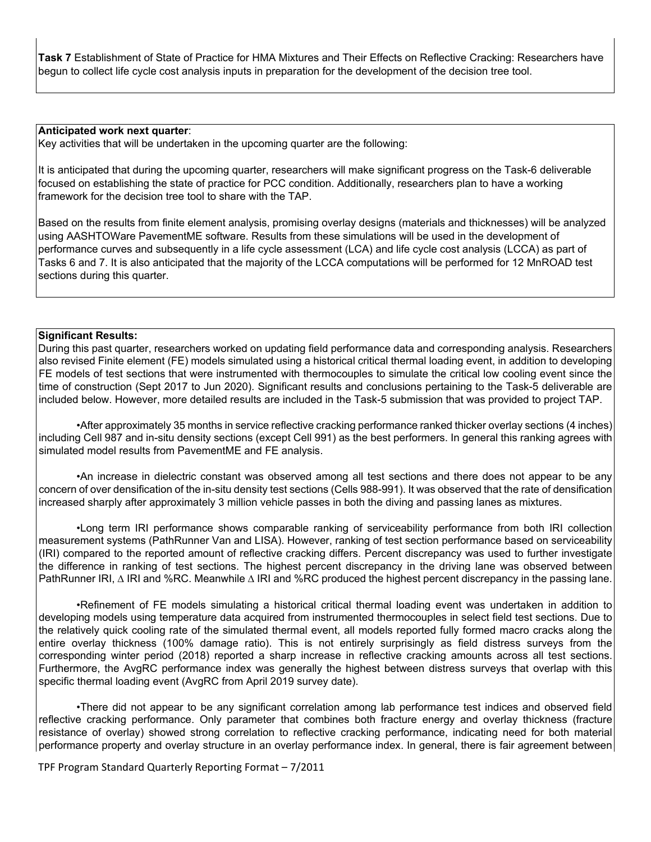**Task 7** Establishment of State of Practice for HMA Mixtures and Their Effects on Reflective Cracking: Researchers have begun to collect life cycle cost analysis inputs in preparation for the development of the decision tree tool.

#### **Anticipated work next quarter**:

Key activities that will be undertaken in the upcoming quarter are the following:

It is anticipated that during the upcoming quarter, researchers will make significant progress on the Task-6 deliverable focused on establishing the state of practice for PCC condition. Additionally, researchers plan to have a working framework for the decision tree tool to share with the TAP.

Based on the results from finite element analysis, promising overlay designs (materials and thicknesses) will be analyzed using AASHTOWare PavementME software. Results from these simulations will be used in the development of performance curves and subsequently in a life cycle assessment (LCA) and life cycle cost analysis (LCCA) as part of Tasks 6 and 7. It is also anticipated that the majority of the LCCA computations will be performed for 12 MnROAD test sections during this quarter.

## **Significant Results:**

During this past quarter, researchers worked on updating field performance data and corresponding analysis. Researchers also revised Finite element (FE) models simulated using a historical critical thermal loading event, in addition to developing FE models of test sections that were instrumented with thermocouples to simulate the critical low cooling event since the time of construction (Sept 2017 to Jun 2020). Significant results and conclusions pertaining to the Task-5 deliverable are included below. However, more detailed results are included in the Task-5 submission that was provided to project TAP.

•After approximately 35 months in service reflective cracking performance ranked thicker overlay sections (4 inches) including Cell 987 and in-situ density sections (except Cell 991) as the best performers. In general this ranking agrees with simulated model results from PavementME and FE analysis.

•An increase in dielectric constant was observed among all test sections and there does not appear to be any concern of over densification of the in-situ density test sections (Cells 988-991). It was observed that the rate of densification increased sharply after approximately 3 million vehicle passes in both the diving and passing lanes as mixtures.

•Long term IRI performance shows comparable ranking of serviceability performance from both IRI collection measurement systems (PathRunner Van and LISA). However, ranking of test section performance based on serviceability (IRI) compared to the reported amount of reflective cracking differs. Percent discrepancy was used to further investigate the difference in ranking of test sections. The highest percent discrepancy in the driving lane was observed between PathRunner IRI, ∆ IRI and %RC. Meanwhile ∆ IRI and %RC produced the highest percent discrepancy in the passing lane.

•Refinement of FE models simulating a historical critical thermal loading event was undertaken in addition to developing models using temperature data acquired from instrumented thermocouples in select field test sections. Due to the relatively quick cooling rate of the simulated thermal event, all models reported fully formed macro cracks along the entire overlay thickness (100% damage ratio). This is not entirely surprisingly as field distress surveys from the corresponding winter period (2018) reported a sharp increase in reflective cracking amounts across all test sections. Furthermore, the AvgRC performance index was generally the highest between distress surveys that overlap with this specific thermal loading event (AvgRC from April 2019 survey date).

•There did not appear to be any significant correlation among lab performance test indices and observed field reflective cracking performance. Only parameter that combines both fracture energy and overlay thickness (fracture resistance of overlay) showed strong correlation to reflective cracking performance, indicating need for both material performance property and overlay structure in an overlay performance index. In general, there is fair agreement between

TPF Program Standard Quarterly Reporting Format – 7/2011